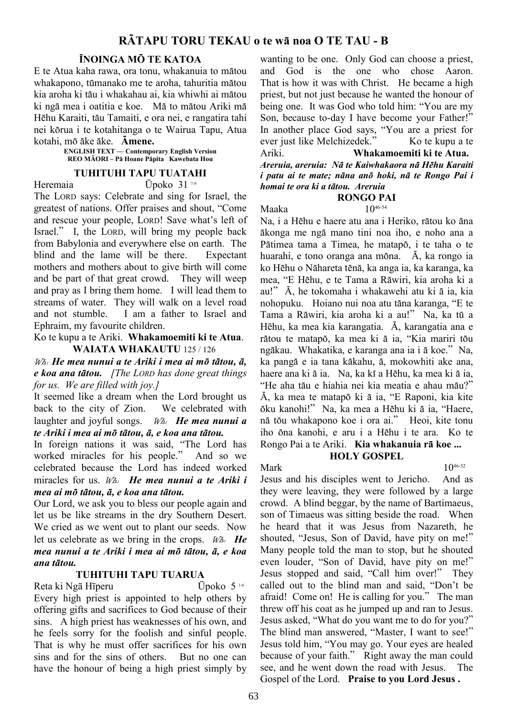## ÏNOINGA MÖ TE KATOA

E te Atua kaha rawa, ora tonu, whakanuia to mätou whakapono, tümanako me te aroha, tahuritia mätou kia aroha ki täu i whakahau ai, kia whiwhi ai mätou ki ngä mea i oatitia e koe. Mä to mätou Ariki mä Hëhu Karaiti, täu Tamaiti, e ora nei, e rangatira tahi nei körua i te kotahitanga o te Wairua Tapu, Atua kotahi, mö äke äke. Ämene.

ENGLISH TEXT — Contemporary English Version REO M**ĀORI – Pā Hoane Pāpita Kawebata Hou**

### TUHITUHI TAPU TUATAHI

Heremaia Upoko 31<sup>7-9</sup>

The LORD says: Celebrate and sing for Israel, the greatest of nations. Offer praises and shout, "Come and rescue your people, LORD! Save what's left of Israel." I, the LORD, will bring my people back from Babylonia and everywhere else on earth. The blind and the lame will be there. Expectant mothers and mothers about to give birth will come and be part of that great crowd. They will weep and pray as I bring them home. I will lead them to streams of water. They will walk on a level road and not stumble. I am a father to Israel and Ephraim, my favourite children.

Ko te kupu a te Ariki. Whakamoemiti ki te Atua. WAIATA WHAKAUTU 125 / 126

 $W_{\mathcal{A}}$ . He mea nunui a te Ariki i mea ai mõ tātou,  $\bar{a}$ ,  $e$  koa ana tātou. [The LORD has done great things] for us. We are filled with joy.]

It seemed like a dream when the Lord brought us back to the city of Zion. We celebrated with laughter and joyful songs.  $W_a$ . He mea nunui a te Ariki i mea ai mö tätou, ä, e koa ana tätou.

In foreign nations it was said, "The Lord has worked miracles for his people." And so we celebrated because the Lord has indeed worked miracles for us.  $W_{\alpha}$ . He mea nunui a te Ariki i mea ai mö tätou, ä, e koa ana tätou.

Our Lord, we ask you to bless our people again and let us be like streams in the dry Southern Desert. We cried as we went out to plant our seeds. Now let us celebrate as we bring in the crops.  $W_{A}$ . He mea nunui a te Ariki i mea ai mö tätou, ä, e koa ana tätou.

### TUHITUHI TAPU TUARUA

Reta ki Ngā Hīperu  $\overline{U}$ poko 5<sup>1-6</sup> Every high priest is appointed to help others by offering gifts and sacrifices to God because of their sins. A high priest has weaknesses of his own, and he feels sorry for the foolish and sinful people. That is why he must offer sacrifices for his own sins and for the sins of others. But no one can have the honour of being a high priest simply by wanting to be one. Only God can choose a priest, and God is the one who chose Aaron. That is how it was with Christ. He became a high priest, but not just because he wanted the honour of being one. It was God who told him: "You are my Son, because to-day I have become your Father!" In another place God says, "You are a priest for ever just like Melchizedek." Ko te kupu a te Ariki. Whakamoemiti ki te Atua. Areruia, areruia: Nä te Kaiwhakaora nä Hëhu Karaiti i patu ai te mate; näna anö hoki, nä te Rongo Pai i homai te ora ki a tätou. Areruia

#### RONGO PAI

Maaka  $10^{46-54}$ 

Na, i a Hëhu e haere atu ana i Heriko, rätou ko äna äkonga me ngä mano tini noa iho, e noho ana a Pätimea tama a Timea, he matapö, i te taha o te huarahi, e tono oranga ana möna. Ä, ka rongo ia ko Hëhu o Nähareta tënä, ka anga ia, ka karanga, ka mea, "E Hëhu, e te Tama a Räwiri, kia aroha ki a au!" Ä, he tokomaha i whakawehi atu ki ä ia, kia nohopuku. Hoiano nui noa atu täna karanga, "E te Tama a Räwiri, kia aroha ki a au!" Na, ka tü a Hēhu, ka mea kia karangatia. Ä, karangatia ana e rätou te matapö, ka mea ki ä ia, "Kia mariri töu ngäkau. Whakatika, e karanga ana ia i ä koe." Na, ka pangä e ia tana käkahu, ä, mokowhiti ake ana, haere ana ki ä ia. Na, ka kï a Hëhu, ka mea ki ä ia, "He aha täu e hiahia nei kia meatia e ahau mäu?" Ä, ka mea te matapö ki ä ia, "E Raponi, kia kite öku kanohi!" Na, ka mea a Hëhu ki ä ia, "Haere, nä töu whakapono koe i ora ai." Heoi, kite tonu iho öna kanohi, e aru i a Hëhu i te ara. Ko te Rongo Pai a te Ariki. Kia whakanuia rä koe ...

## HOLY GOSPEL

Mark  $10^{46-52}$ Jesus and his disciples went to Jericho. And as they were leaving, they were followed by a large crowd. A blind beggar, by the name of Bartimaeus, son of Timaeus was sitting beside the road. When he heard that it was Jesus from Nazareth, he shouted, "Jesus, Son of David, have pity on me!" Many people told the man to stop, but he shouted even louder, "Son of David, have pity on me!" Jesus stopped and said, "Call him over!" They called out to the blind man and said, "Don't be afraid! Come on! He is calling for you." The man threw off his coat as he jumped up and ran to Jesus. Jesus asked, "What do you want me to do for you?" The blind man answered, "Master, I want to see!" Jesus told him, "You may go. Your eyes are healed because of your faith." Right away the man could see, and he went down the road with Jesus. The Gospel of the Lord. Praise to you Lord Jesus .